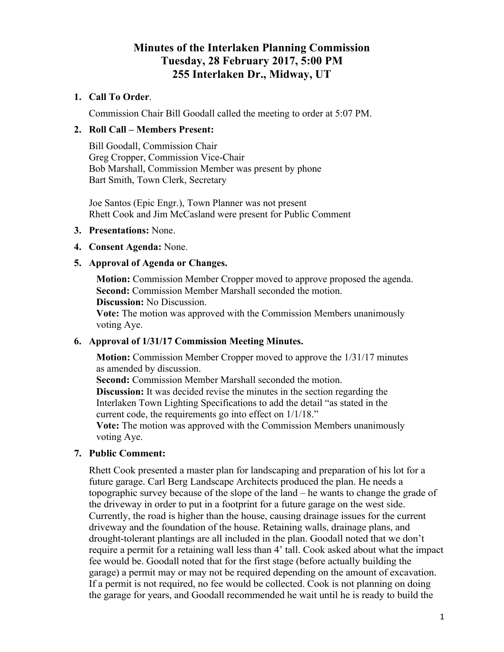# **Minutes of the Interlaken Planning Commission Tuesday, 28 February 2017, 5:00 PM 255 Interlaken Dr., Midway, UT**

## **1. Call To Order**.

Commission Chair Bill Goodall called the meeting to order at 5:07 PM.

### **2. Roll Call – Members Present:**

Bill Goodall, Commission Chair Greg Cropper, Commission Vice-Chair Bob Marshall, Commission Member was present by phone Bart Smith, Town Clerk, Secretary

Joe Santos (Epic Engr.), Town Planner was not present Rhett Cook and Jim McCasland were present for Public Comment

#### **3. Presentations:** None.

### **4. Consent Agenda:** None.

#### **5. Approval of Agenda or Changes.**

**Motion:** Commission Member Cropper moved to approve proposed the agenda. **Second:** Commission Member Marshall seconded the motion.

**Discussion:** No Discussion.

**Vote:** The motion was approved with the Commission Members unanimously voting Aye.

## **6. Approval of 1/31/17 Commission Meeting Minutes.**

**Motion:** Commission Member Cropper moved to approve the  $1/31/17$  minutes as amended by discussion.

**Second:** Commission Member Marshall seconded the motion.

**Discussion:** It was decided revise the minutes in the section regarding the Interlaken Town Lighting Specifications to add the detail "as stated in the current code, the requirements go into effect on 1/1/18."

**Vote:** The motion was approved with the Commission Members unanimously voting Aye.

### **7. Public Comment:**

Rhett Cook presented a master plan for landscaping and preparation of his lot for a future garage. Carl Berg Landscape Architects produced the plan. He needs a topographic survey because of the slope of the land – he wants to change the grade of the driveway in order to put in a footprint for a future garage on the west side. Currently, the road is higher than the house, causing drainage issues for the current driveway and the foundation of the house. Retaining walls, drainage plans, and drought-tolerant plantings are all included in the plan. Goodall noted that we don't require a permit for a retaining wall less than 4' tall. Cook asked about what the impact fee would be. Goodall noted that for the first stage (before actually building the garage) a permit may or may not be required depending on the amount of excavation. If a permit is not required, no fee would be collected. Cook is not planning on doing the garage for years, and Goodall recommended he wait until he is ready to build the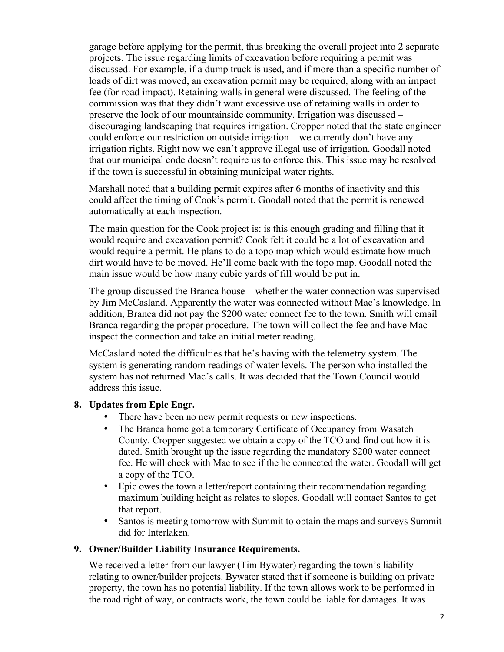garage before applying for the permit, thus breaking the overall project into 2 separate projects. The issue regarding limits of excavation before requiring a permit was discussed. For example, if a dump truck is used, and if more than a specific number of loads of dirt was moved, an excavation permit may be required, along with an impact fee (for road impact). Retaining walls in general were discussed. The feeling of the commission was that they didn't want excessive use of retaining walls in order to preserve the look of our mountainside community. Irrigation was discussed – discouraging landscaping that requires irrigation. Cropper noted that the state engineer could enforce our restriction on outside irrigation – we currently don't have any irrigation rights. Right now we can't approve illegal use of irrigation. Goodall noted that our municipal code doesn't require us to enforce this. This issue may be resolved if the town is successful in obtaining municipal water rights.

Marshall noted that a building permit expires after 6 months of inactivity and this could affect the timing of Cook's permit. Goodall noted that the permit is renewed automatically at each inspection.

The main question for the Cook project is: is this enough grading and filling that it would require and excavation permit? Cook felt it could be a lot of excavation and would require a permit. He plans to do a topo map which would estimate how much dirt would have to be moved. He'll come back with the topo map. Goodall noted the main issue would be how many cubic yards of fill would be put in.

The group discussed the Branca house – whether the water connection was supervised by Jim McCasland. Apparently the water was connected without Mac's knowledge. In addition, Branca did not pay the \$200 water connect fee to the town. Smith will email Branca regarding the proper procedure. The town will collect the fee and have Mac inspect the connection and take an initial meter reading.

McCasland noted the difficulties that he's having with the telemetry system. The system is generating random readings of water levels. The person who installed the system has not returned Mac's calls. It was decided that the Town Council would address this issue.

# **8. Updates from Epic Engr.**

- There have been no new permit requests or new inspections.<br>• The Branca home got a temporary Certificate of Occupancy
- The Branca home got a temporary Certificate of Occupancy from Wasatch County. Cropper suggested we obtain a copy of the TCO and find out how it is dated. Smith brought up the issue regarding the mandatory \$200 water connect fee. He will check with Mac to see if the he connected the water. Goodall will get a copy of the TCO.
- Epic owes the town a letter/report containing their recommendation regarding maximum building height as relates to slopes. Goodall will contact Santos to get that report.
- Santos is meeting tomorrow with Summit to obtain the maps and surveys Summit did for Interlaken.

### **9. Owner/Builder Liability Insurance Requirements.**

We received a letter from our lawyer (Tim Bywater) regarding the town's liability relating to owner/builder projects. Bywater stated that if someone is building on private property, the town has no potential liability. If the town allows work to be performed in the road right of way, or contracts work, the town could be liable for damages. It was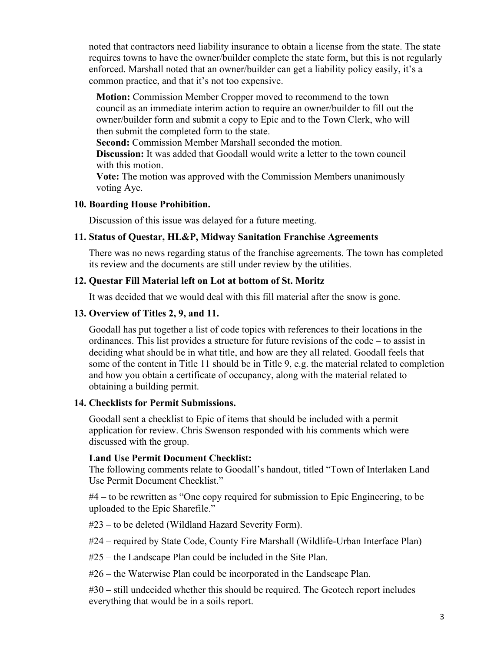noted that contractors need liability insurance to obtain a license from the state. The state requires towns to have the owner/builder complete the state form, but this is not regularly enforced. Marshall noted that an owner/builder can get a liability policy easily, it's a common practice, and that it's not too expensive.

**Motion:** Commission Member Cropper moved to recommend to the town council as an immediate interim action to require an owner/builder to fill out the owner/builder form and submit a copy to Epic and to the Town Clerk, who will then submit the completed form to the state.

**Second:** Commission Member Marshall seconded the motion.

**Discussion:** It was added that Goodall would write a letter to the town council with this motion.

**Vote:** The motion was approved with the Commission Members unanimously voting Aye.

### **10. Boarding House Prohibition.**

Discussion of this issue was delayed for a future meeting.

## **11. Status of Questar, HL&P, Midway Sanitation Franchise Agreements**

There was no news regarding status of the franchise agreements. The town has completed its review and the documents are still under review by the utilities.

## **12. Questar Fill Material left on Lot at bottom of St. Moritz**

It was decided that we would deal with this fill material after the snow is gone.

## **13. Overview of Titles 2, 9, and 11.**

Goodall has put together a list of code topics with references to their locations in the ordinances. This list provides a structure for future revisions of the code – to assist in deciding what should be in what title, and how are they all related. Goodall feels that some of the content in Title 11 should be in Title 9, e.g. the material related to completion and how you obtain a certificate of occupancy, along with the material related to obtaining a building permit.

### **14. Checklists for Permit Submissions.**

Goodall sent a checklist to Epic of items that should be included with a permit application for review. Chris Swenson responded with his comments which were discussed with the group.

### **Land Use Permit Document Checklist:**

The following comments relate to Goodall's handout, titled "Town of Interlaken Land Use Permit Document Checklist."

#4 – to be rewritten as "One copy required for submission to Epic Engineering, to be uploaded to the Epic Sharefile."

#23 – to be deleted (Wildland Hazard Severity Form).

#24 – required by State Code, County Fire Marshall (Wildlife-Urban Interface Plan)

#25 – the Landscape Plan could be included in the Site Plan.

#26 – the Waterwise Plan could be incorporated in the Landscape Plan.

#30 – still undecided whether this should be required. The Geotech report includes everything that would be in a soils report.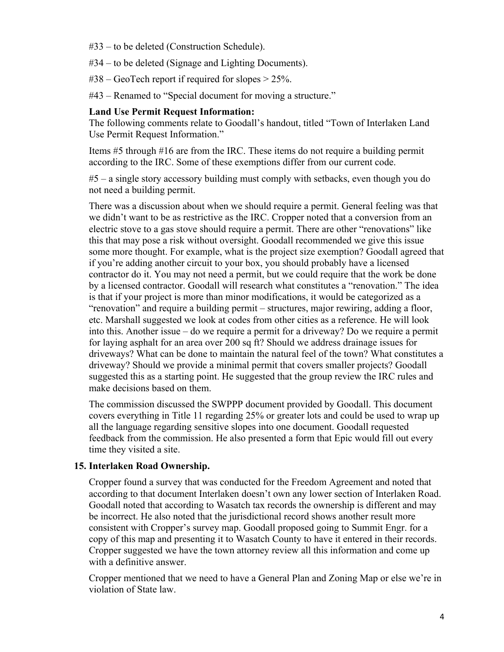#33 – to be deleted (Construction Schedule).

#34 – to be deleted (Signage and Lighting Documents).

 $\text{\#38}-\text{Geo}$ Tech report if required for slopes  $>$  25%.

#43 – Renamed to "Special document for moving a structure."

# **Land Use Permit Request Information:**

The following comments relate to Goodall's handout, titled "Town of Interlaken Land Use Permit Request Information."

Items #5 through #16 are from the IRC. These items do not require a building permit according to the IRC. Some of these exemptions differ from our current code.

#5 – a single story accessory building must comply with setbacks, even though you do not need a building permit.

There was a discussion about when we should require a permit. General feeling was that we didn't want to be as restrictive as the IRC. Cropper noted that a conversion from an electric stove to a gas stove should require a permit. There are other "renovations" like this that may pose a risk without oversight. Goodall recommended we give this issue some more thought. For example, what is the project size exemption? Goodall agreed that if you're adding another circuit to your box, you should probably have a licensed contractor do it. You may not need a permit, but we could require that the work be done by a licensed contractor. Goodall will research what constitutes a "renovation." The idea is that if your project is more than minor modifications, it would be categorized as a "renovation" and require a building permit – structures, major rewiring, adding a floor, etc. Marshall suggested we look at codes from other cities as a reference. He will look into this. Another issue – do we require a permit for a driveway? Do we require a permit for laying asphalt for an area over 200 sq ft? Should we address drainage issues for driveways? What can be done to maintain the natural feel of the town? What constitutes a driveway? Should we provide a minimal permit that covers smaller projects? Goodall suggested this as a starting point. He suggested that the group review the IRC rules and make decisions based on them.

The commission discussed the SWPPP document provided by Goodall. This document covers everything in Title 11 regarding 25% or greater lots and could be used to wrap up all the language regarding sensitive slopes into one document. Goodall requested feedback from the commission. He also presented a form that Epic would fill out every time they visited a site.

# **15. Interlaken Road Ownership.**

Cropper found a survey that was conducted for the Freedom Agreement and noted that according to that document Interlaken doesn't own any lower section of Interlaken Road. Goodall noted that according to Wasatch tax records the ownership is different and may be incorrect. He also noted that the jurisdictional record shows another result more consistent with Cropper's survey map. Goodall proposed going to Summit Engr. for a copy of this map and presenting it to Wasatch County to have it entered in their records. Cropper suggested we have the town attorney review all this information and come up with a definitive answer.

Cropper mentioned that we need to have a General Plan and Zoning Map or else we're in violation of State law.